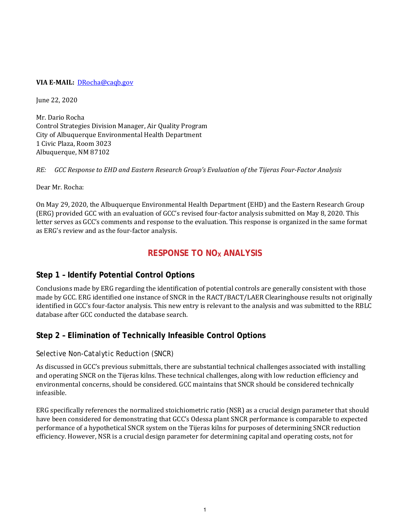### **VIA E‐MAIL:** DRocha@caqb.gov

June 22, 2020

Mr. Dario Rocha Control Strategies Division Manager, Air Quality Program City of Albuquerque Environmental Health Department 1 Civic Plaza, Room 3023 Albuquerque, NM 87102

*RE: GCC Response to EHD and Eastern Research Group's Evaluation of the Tijeras Four‐Factor Analysis*

Dear Mr. Rocha:

On May 29, 2020, the Albuquerque Environmental Health Department (EHD) and the Eastern Research Group (ERG) provided GCC with an evaluation of GCC's revised four-factor analysis submitted on May 8, 2020. This letter serves as GCC's comments and response to the evaluation. This response is organized in the same format as ERG's review and as the four-factor analysis.

## **RESPONSE TO NO<sub>x</sub> ANALYSIS**

## **Step 1 – Identify Potential Control Options**

Conclusions made by ERG regarding the identification of potential controls are generally consistent with those made by GCC. ERG identified one instance of SNCR in the RACT/BACT/LAER Clearinghouse results not originally identified in GCC's four-factor analysis. This new entry is relevant to the analysis and was submitted to the RBLC database after GCC conducted the database search.

## **Step 2 – Elimination of Technically Infeasible Control Options**

## *Selective Non-Catalytic Reduction (SNCR)*

As discussed in GCC's previous submittals, there are substantial technical challenges associated with installing and operating SNCR on the Tijeras kilns. These technical challenges, along with low reduction efficiency and environmental concerns, should be considered. GCC maintains that SNCR should be considered technically infeasible.

ERG specifically references the normalized stoichiometric ratio (NSR) as a crucial design parameter that should have been considered for demonstrating that GCC's Odessa plant SNCR performance is comparable to expected performance of a hypothetical SNCR system on the Tijeras kilns for purposes of determining SNCR reduction efficiency. However, NSR is a crucial design parameter for determining capital and operating costs, not for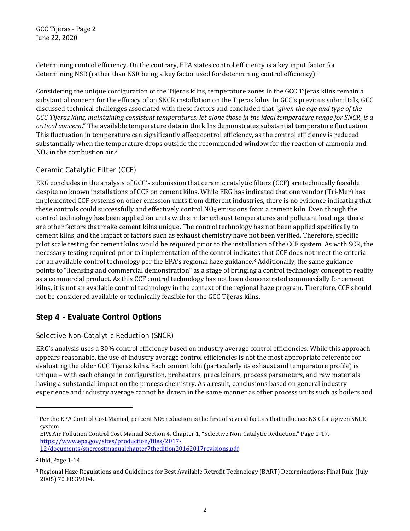GCC Tijeras - Page 2 June 22, 2020

determining control efficiency. On the contrary, EPA states control efficiency is a key input factor for determining NSR (rather than NSR being a key factor used for determining control efficiency).<sup>1</sup>

Considering the unique configuration of the Tijeras kilns, temperature zones in the GCC Tijeras kilns remain a substantial concern for the efficacy of an SNCR installation on the Tijeras kilns. In GCC's previous submittals, GCC discussed technical challenges associated with these factors and concluded that "*given the age and type of the* GCC Tijeras kilns, maintaining consistent temperatures, let alone those in the ideal temperature range for SNCR, is a *critical concern*." The available temperature data in the kilns demonstrates substantial temperature fluctuation. This fluctuation in temperature can significantly affect control efficiency, as the control efficiency is reduced substantially when the temperature drops outside the recommended window for the reaction of ammonia and  $NO<sub>x</sub>$  in the combustion air.<sup>2</sup>

## *Ceramic Catalytic Filter (CCF)*

ERG concludes in the analysis of GCC's submission that ceramic catalytic filters (CCF) are technically feasible despite no known installations of CCF on cement kilns. While ERG has indicated that one vendor (Tri-Mer) has implemented CCF systems on other emission units from different industries, there is no evidence indicating that these controls could successfully and effectively control  $NO<sub>X</sub>$  emissions from a cement kiln. Even though the control technology has been applied on units with similar exhaust temperatures and pollutant loadings, there are other factors that make cement kilns unique. The control technology has not been applied specifically to cement kilns, and the impact of factors such as exhaust chemistry have not been verified. Therefore, specific pilot scale testing for cement kilns would be required prior to the installation of the CCF system. As with SCR, the necessary testing required prior to implementation of the control indicates that CCF does not meet the criteria for an available control technology per the EPA's regional haze guidance.3 Additionally, the same guidance points to "licensing and commercial demonstration" as a stage of bringing a control technology concept to reality as a commercial product. As this CCF control technology has not been demonstrated commercially for cement kilns, it is not an available control technology in the context of the regional haze program. Therefore, CCF should not be considered available or technically feasible for the GCC Tijeras kilns.

# **Step 4 – Evaluate Control Options**

## *Selective Non-Catalytic Reduction (SNCR)*

ERG's analysis uses a 30% control efficiency based on industry average control efficiencies. While this approach appears reasonable, the use of industry average control efficiencies is not the most appropriate reference for evaluating the older GCC Tijeras kilns. Each cement kiln (particularly its exhaust and temperature profile) is unique – with each change in configuration, preheaters, precalciners, process parameters, and raw materials having a substantial impact on the process chemistry. As a result, conclusions based on general industry experience and industry average cannot be drawn in the same manner as other process units such as boilers and

<sup>&</sup>lt;sup>1</sup> Per the EPA Control Cost Manual, percent NO<sub>X</sub> reduction is the first of several factors that influence NSR for a given SNCR system.

EPA Air Pollution Control Cost Manual Section 4, Chapter 1, "Selective Non-Catalytic Reduction." Page 1-17. https://www.epa.gov/sites/production/files/2017- 12/documents/sncrcostmanualchapter7thedition20162017revisions.pdf

<sup>2</sup> Ibid, Page 1-14.

<sup>3</sup> Regional Haze Regulations and Guidelines for Best Available Retrofit Technology (BART) Determinations; Final Rule (July 2005) 70 FR 39104.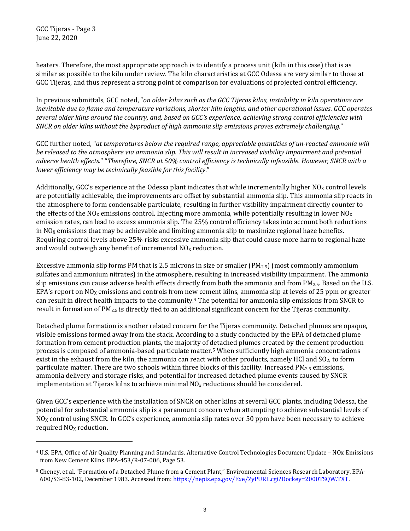GCC Tijeras - Page 3 June 22, 2020

heaters. Therefore, the most appropriate approach is to identify a process unit (kiln in this case) that is as similar as possible to the kiln under review. The kiln characteristics at GCC Odessa are very similar to those at GCC Tijeras, and thus represent a strong point of comparison for evaluations of projected control efficiency.

In previous submittals, GCC noted, "*on older kilns such as the GCC Tijeras kilns, instability in kiln operations are* inevitable due to flame and temperature variations, shorter kiln lengths, and other operational issues. GCC operates several older kilns around the country, and, based on GCC's experience, achieving strong control efficiencies with *SNCR on older kilns without the byproduct of high ammonia slip emissions proves extremely challenging.*"

GCC further noted, "*at temperatures below the required range, appreciable quantities of un‐reacted ammonia will* be released to the atmosphere via ammonia slip. This will result in increased visibility impairment and potential adverse health effects." "Therefore, SNCR at 50% control efficiency is technically infeasible. However, SNCR with a *lower efficiency may be technically feasible for this facility*."

Additionally, GCC's experience at the Odessa plant indicates that while incrementally higher  $NO<sub>X</sub>$  control levels are potentially achievable, the improvements are offset by substantial ammonia slip. This ammonia slip reacts in the atmosphere to form condensable particulate, resulting in further visibility impairment directly counter to the effects of the NO<sub>X</sub> emissions control. Injecting more ammonia, while potentially resulting in lower NO<sub>X</sub> emission rates, can lead to excess ammonia slip. The 25% control efficiency takes into account both reductions in  $NO<sub>X</sub>$  emissions that may be achievable and limiting ammonia slip to maximize regional haze benefits. Requiring control levels above 25% risks excessive ammonia slip that could cause more harm to regional haze and would outweigh any benefit of incremental  $NO<sub>X</sub>$  reduction.

Excessive ammonia slip forms PM that is 2.5 microns in size or smaller  $(PM_{2.5})$  (most commonly ammonium sulfates and ammonium nitrates) in the atmosphere, resulting in increased visibility impairment. The ammonia slip emissions can cause adverse health effects directly from both the ammonia and from  $PM_{2.5}$ . Based on the U.S. EPA's report on  $NO<sub>X</sub>$  emissions and controls from new cement kilns, ammonia slip at levels of 25 ppm or greater can result in direct health impacts to the community.4 The potential for ammonia slip emissions from SNCR to result in formation of PM2.5 is directly tied to an additional significant concern for the Tijeras community.

Detached plume formation is another related concern for the Tijeras community. Detached plumes are opaque, visible emissions formed away from the stack. According to a study conducted by the EPA of detached plume formation from cement production plants, the majority of detached plumes created by the cement production process is composed of ammonia-based particulate matter.5 When sufficiently high ammonia concentrations exist in the exhaust from the kiln, the ammonia can react with other products, namely HCl and  $SO<sub>2</sub>$ , to form particulate matter. There are two schools within three blocks of this facility. Increased PM<sub>2.5</sub> emissions, ammonia delivery and storage risks, and potential for increased detached plume events caused by SNCR implementation at Tijeras kilns to achieve minimal  $NO<sub>x</sub>$  reductions should be considered.

Given GCC's experience with the installation of SNCR on other kilns at several GCC plants, including Odessa, the potential for substantial ammonia slip is a paramount concern when attempting to achieve substantial levels of  $N_{\rm OX}$  control using SNCR. In GCC's experience, ammonia slip rates over 50 ppm have been necessary to achieve required NO<sub>X</sub> reduction.

<sup>4</sup> U.S. EPA, Office of Air Quality Planning and Standards. Alternative Control Technologies Document Update – NOx Emissions from New Cement Kilns. EPA-453/R-07-006, Page 53.

<sup>5</sup> Cheney, et al. "Formation of a Detached Plume from a Cement Plant," Environmental Sciences Research Laboratory. EPA-600/S3-83-102, December 1983. Accessed from: https://nepis.epa.gov/Exe/ZyPURL.cgi?Dockey=2000TSQW.TXT.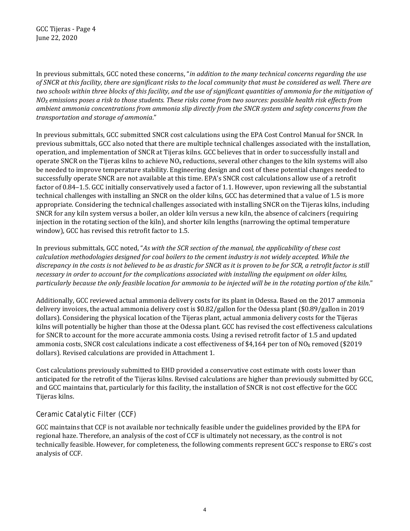GCC Tijeras - Page 4 June 22, 2020

In previous submittals, GCC noted these concerns, "*in addition to the many technical concerns regarding the use* of SNCR at this facility, there are significant risks to the local community that must be considered as well. There are two schools within three blocks of this facility, and the use of significant quantities of ammonia for the mitigation of  $NO<sub>X</sub>$  emissions poses a risk to those students. These risks come from two sources: possible health risk effects from *ambient ammonia concentrations from ammonia slip directly from the SNCR system and safety concerns from the transportation and storage of ammonia*."

In previous submittals, GCC submitted SNCR cost calculations using the EPA Cost Control Manual for SNCR. In previous submittals, GCC also noted that there are multiple technical challenges associated with the installation, operation, and implementation of SNCR at Tijeras kilns. GCC believes that in order to successfully install and operate SNCR on the Tijeras kilns to achieve  $N_0$ x reductions, several other changes to the kiln systems will also be needed to improve temperature stability. Engineering design and cost of these potential changes needed to successfully operate SNCR are not available at this time. EPA's SNCR cost calculations allow use of a retrofit factor of 0.84–1.5. GCC initially conservatively used a factor of 1.1. However, upon reviewing all the substantial technical challenges with installing an SNCR on the older kilns, GCC has determined that a value of 1.5 is more appropriate. Considering the technical challenges associated with installing SNCR on the Tijeras kilns, including SNCR for any kiln system versus a boiler, an older kiln versus a new kiln, the absence of calciners (requiring injection in the rotating section of the kiln), and shorter kiln lengths (narrowing the optimal temperature window), GCC has revised this retrofit factor to 1.5.

In previous submittals, GCC noted, "*As with the SCR section of the manual, the applicability of these cost calculation methodologies designed for coal boilers to the cement industry is not widely accepted. While the* discrepancy in the costs is not believed to be as drastic for SNCR as it is proven to be for SCR, a retrofit factor is still *necessary in order to account for the complications associated with installing the equipment on older kilns,* particularly because the only feasible location for ammonia to be injected will be in the rotating portion of the kiln."

Additionally, GCC reviewed actual ammonia delivery costs for its plant in Odessa. Based on the 2017 ammonia delivery invoices, the actual ammonia delivery cost is \$0.82/gallon for the Odessa plant (\$0.89/gallon in 2019 dollars). Considering the physical location of the Tijeras plant, actual ammonia delivery costs for the Tijeras kilns will potentially be higher than those at the Odessa plant. GCC has revised the cost effectiveness calculations for SNCR to account for the more accurate ammonia costs. Using a revised retrofit factor of 1.5 and updated ammonia costs, SNCR cost calculations indicate a cost effectiveness of \$4,164 per ton of NO<sub>X</sub> removed (\$2019) dollars). Revised calculations are provided in Attachment 1.

Cost calculations previously submitted to EHD provided a conservative cost estimate with costs lower than anticipated for the retrofit of the Tijeras kilns. Revised calculations are higher than previously submitted by GCC, and GCC maintains that, particularly for this facility, the installation of SNCR is not cost effective for the GCC Tijeras kilns.

## *Ceramic Catalytic Filter (CCF)*

GCC maintains that CCF is not available nor technically feasible under the guidelines provided by the EPA for regional haze. Therefore, an analysis of the cost of CCF is ultimately not necessary, as the control is not technically feasible. However, for completeness, the following comments represent GCC's response to ERG's cost analysis of CCF.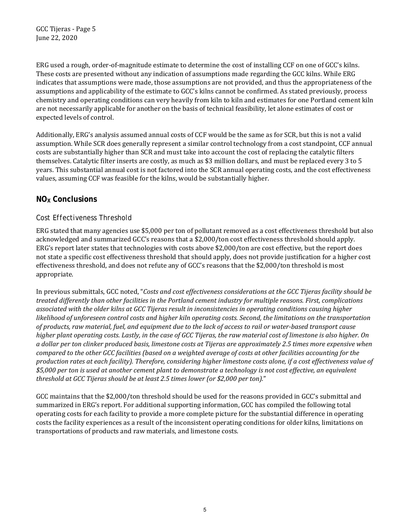GCC Tijeras - Page 5 June 22, 2020

ERG used a rough, order-of-magnitude estimate to determine the cost of installing CCF on one of GCC's kilns. These costs are presented without any indication of assumptions made regarding the GCC kilns. While ERG indicates that assumptions were made, those assumptions are not provided, and thus the appropriateness of the assumptions and applicability of the estimate to GCC's kilns cannot be confirmed. As stated previously, process chemistry and operating conditions can very heavily from kiln to kiln and estimates for one Portland cement kiln are not necessarily applicable for another on the basis of technical feasibility, let alone estimates of cost or expected levels of control.

Additionally, ERG's analysis assumed annual costs of CCF would be the same as for SCR, but this is not a valid assumption. While SCR does generally represent a similar control technology from a cost standpoint, CCF annual costs are substantially higher than SCR and must take into account the cost of replacing the catalytic filters themselves. Catalytic filter inserts are costly, as much as \$3 million dollars, and must be replaced every 3 to 5 years. This substantial annual cost is not factored into the SCR annual operating costs, and the cost effectiveness values, assuming CCF was feasible for the kilns, would be substantially higher.

## **NOX Conclusions**

## *Cost Effectiveness Threshold*

ERG stated that many agencies use \$5,000 per ton of pollutant removed as a cost effectiveness threshold but also acknowledged and summarized GCC's reasons that a \$2,000/ton cost effectiveness threshold should apply. ERG's report later states that technologies with costs above \$2,000/ton are cost effective, but the report does not state a specific cost effectiveness threshold that should apply, does not provide justification for a higher cost effectiveness threshold, and does not refute any of GCC's reasons that the \$2,000/ton threshold is most appropriate.

In previous submittals, GCC noted, "*Costs and cost effectiveness considerations at the GCC Tijeras facility should be treated differently than other facilities in the Portland cement industry for multiple reasons. First, complications associated with the older kilns at GCC Tijeras result in inconsistencies in operating conditions causing higher* likelihood of unforeseen control costs and higher kiln operating costs. Second, the limitations on the transportation of products, raw material, fuel, and equipment due to the lack of access to rail or water-based transport cause higher plant operating costs. Lastly, in the case of GCC Tijeras, the raw material cost of limestone is also higher. On a dollar per ton clinker produced basis, limestone costs at Tijeras are approximately 2.5 times more expensive when compared to the other GCC facilities (based on a weighted average of costs at other facilities accounting for the production rates at each facility). Therefore, considering higher limestone costs alone, if a cost effectiveness value of \$5,000 per ton is used at another cement plant to demonstrate a technology is not cost effective, an equivalent *threshold at GCC Tijeras should be at least 2.5 times lower (or \$2,000 per ton).*"

GCC maintains that the \$2,000/ton threshold should be used for the reasons provided in GCC's submittal and summarized in ERG's report. For additional supporting information, GCC has compiled the following total operating costs for each facility to provide a more complete picture for the substantial difference in operating costs the facility experiences as a result of the inconsistent operating conditions for older kilns, limitations on transportations of products and raw materials, and limestone costs.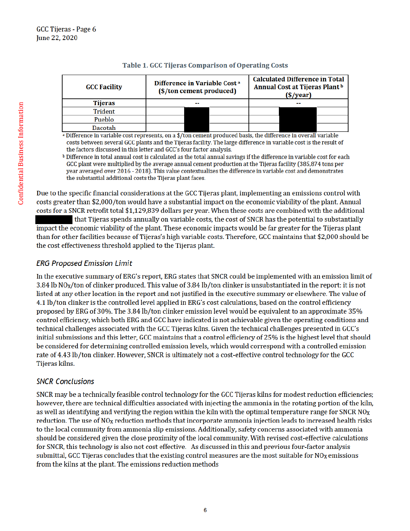| <b>GCC Facility</b> | Difference in Variable Cost <sup>a</sup><br>(\$/ton cement produced) |  | <b>Calculated Difference in Total</b><br>Annual Cost at Tijeras Plant b<br>$(\sqrt[6]{ year)$ |    |  |
|---------------------|----------------------------------------------------------------------|--|-----------------------------------------------------------------------------------------------|----|--|
| <b>Tijeras</b>      | --                                                                   |  |                                                                                               | -- |  |
| Trident             |                                                                      |  |                                                                                               |    |  |
| Pueblo              |                                                                      |  |                                                                                               |    |  |
| Dacotah             |                                                                      |  |                                                                                               |    |  |

### Table 1. GCC Tijeras Comparison of Operating Costs

a Difference in variable cost represents, on a \$/ton cement produced basis, the difference in overall variable costs between several GCC plants and the Tijeras facility. The large difference in variable cost is the result of the factors discussed in this letter and GCC's four factor analysis.

<sup>b</sup> Difference in total annual cost is calculated as the total annual savings if the difference in variable cost for each GCC plant were multiplied by the average annual cement production at the Tijeras facility (385,874 tons per year averaged over 2016 - 2018). This value contextualizes the difference in variable cost and demonstrates the substantial additional costs the Tijeras plant faces.

Due to the specific financial considerations at the GCC Tijeras plant, implementing an emissions control with costs greater than \$2,000/ton would have a substantial impact on the economic viability of the plant. Annual costs for a SNCR retrofit total \$1,129,839 dollars per year. When these costs are combined with the additional

that Tijeras spends annually on variable costs, the cost of SNCR has the potential to substantially impact the economic viability of the plant. These economic impacts would be far greater for the Tijeras plant than for other facilities because of Tijeras's high variable costs. Therefore, GCC maintains that \$2,000 should be the cost effectiveness threshold applied to the Tijeras plant.

## **ERG Proposed Emission Limit**

In the executive summary of ERG's report, ERG states that SNCR could be implemented with an emission limit of 3.84 lb NO<sub>X</sub>/ton of clinker produced. This value of 3.84 lb/ton clinker is unsubstantiated in the report: it is not listed at any other location in the report and not justified in the executive summary or elsewhere. The value of 4.1 lb/ton clinker is the controlled level applied in ERG's cost calculations, based on the control efficiency proposed by ERG of 30%. The 3.84 lb/ton clinker emission level would be equivalent to an approximate 35% control efficiency, which both ERG and GCC have indicated is not achievable given the operating conditions and technical challenges associated with the GCC Tijeras kilns. Given the technical challenges presented in GCC's initial submissions and this letter, GCC maintains that a control efficiency of 25% is the highest level that should be considered for determining controlled emission levels, which would correspond with a controlled emission rate of 4.43 lb/ton clinker. However, SNCR is ultimately not a cost-effective control technology for the GCC Tijeras kilns.

## **SNCR Conclusions**

SNCR may be a technically feasible control technology for the GCC Tijeras kilns for modest reduction efficiencies; however, there are technical difficulties associated with injecting the ammonia in the rotating portion of the kiln, as well as identifying and verifying the region within the kiln with the optimal temperature range for SNCR  $NO_X$ reduction. The use of NO<sub>X</sub> reduction methods that incorporate ammonia injection leads to increased health risks to the local community from ammonia slip emissions. Additionally, safety concerns associated with ammonia should be considered given the close proximity of the local community. With revised cost-effective calculations for SNCR, this technology is also not cost effective. As discussed in this and previous four-factor analysis submittal, GCC Tijeras concludes that the existing control measures are the most suitable for NO<sub>X</sub> emissions from the kilns at the plant. The emissions reduction methods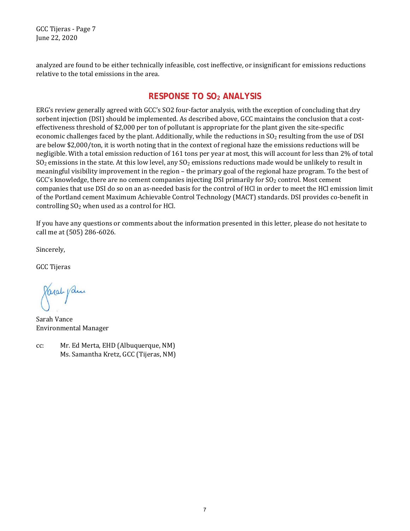GCC Tijeras - Page 7 June 22, 2020

analyzed are found to be either technically infeasible, cost ineffective, or insignificant for emissions reductions relative to the total emissions in the area.

# **RESPONSE TO SO2 ANALYSIS**

ERG's review generally agreed with GCC's SO2 four-factor analysis, with the exception of concluding that dry sorbent injection (DSI) should be implemented. As described above, GCC maintains the conclusion that a costeffectiveness threshold of \$2,000 per ton of pollutant is appropriate for the plant given the site-specific economic challenges faced by the plant. Additionally, while the reductions in SO<sub>2</sub> resulting from the use of DSI are below \$2,000/ton, it is worth noting that in the context of regional haze the emissions reductions will be negligible. With a total emission reduction of 161 tons per year at most, this will account for less than 2% of total  $SO<sub>2</sub>$  emissions in the state. At this low level, any  $SO<sub>2</sub>$  emissions reductions made would be unlikely to result in meaningful visibility improvement in the region – the primary goal of the regional haze program. To the best of  $GCC's$  knowledge, there are no cement companies injecting DSI primarily for  $SO<sub>2</sub>$  control. Most cement companies that use DSI do so on an as-needed basis for the control of HCl in order to meet the HCl emission limit of the Portland cement Maximum Achievable Control Technology (MACT) standards. DSI provides co-benefit in controlling  $SO<sub>2</sub>$  when used as a control for HCl.

If you have any questions or comments about the information presented in this letter, please do not hesitate to call me at (505) 286-6026.

Sincerely,

GCC Tijeras

Paral pan

Sarah Vance Environmental Manager

cc: Mr. Ed Merta, EHD (Albuquerque, NM) Ms. Samantha Kretz, GCC (Tijeras, NM)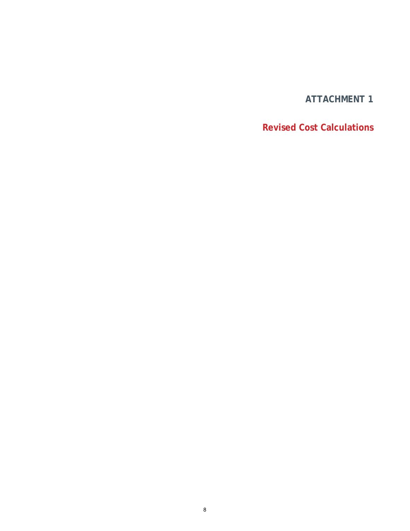# **ATTACHMENT 1**

# **Revised Cost Calculations**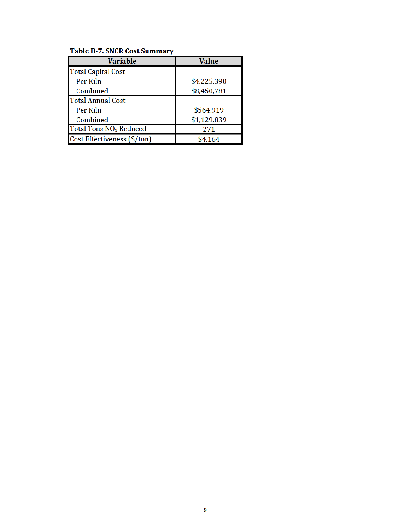### **Table B-7. SNCR Cost Summary**

| <b>Variable</b>                    | <b>Value</b> |
|------------------------------------|--------------|
| <b>Total Capital Cost</b>          |              |
| Per Kiln                           | \$4,225,390  |
| Combined                           | \$8,450,781  |
| <b>Total Annual Cost</b>           |              |
| Per Kiln                           | \$564,919    |
| Combined                           | \$1,129,839  |
| Total Tons NO <sub>x</sub> Reduced | 271          |
| Cost Effectiveness (\$/ton)        | \$4,164      |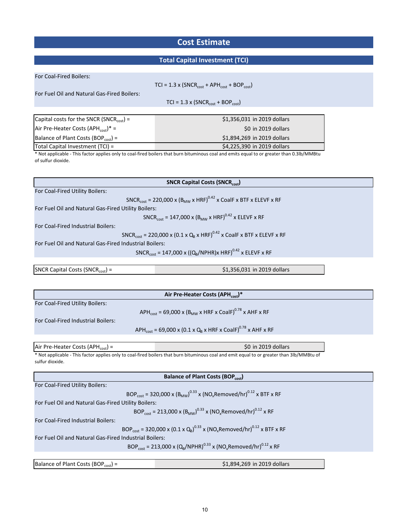# **Cost Estimate**

## **Total Capital Investment (TCI)**

| For Coal-Fired Boilers:                                |                                                                                                                                            |
|--------------------------------------------------------|--------------------------------------------------------------------------------------------------------------------------------------------|
|                                                        | $TCI = 1.3 \times (SNCR_{cost} + APH_{cost} + BOP_{cost})$                                                                                 |
| For Fuel Oil and Natural Gas-Fired Boilers:            |                                                                                                                                            |
|                                                        | $TCI = 1.3 \times (SNCR_{cost} + BOP_{cost})$                                                                                              |
| Capital costs for the SNCR (SNCR <sub>cost</sub> ) =   | \$1,356,031 in 2019 dollars                                                                                                                |
| Air Pre-Heater Costs (APH $_{cost}$ )* =               | \$0 in 2019 dollars                                                                                                                        |
| Balance of Plant Costs (BOP <sub>cost</sub> ) =        | \$1,894,269 in 2019 dollars                                                                                                                |
| Total Capital Investment (TCI) =                       | \$4,225,390 in 2019 dollars                                                                                                                |
|                                                        | * Not applicable - This factor applies only to coal-fired boilers that burn bituminous coal and emits equal to or greater than 0.3lb/MMBtu |
| of sulfur dioxide.                                     |                                                                                                                                            |
|                                                        |                                                                                                                                            |
|                                                        | <b>SNCR Capital Costs (SNCRcost)</b>                                                                                                       |
| For Coal-Fired Utility Boilers:                        |                                                                                                                                            |
|                                                        | SNCR <sub>cost</sub> = 220,000 x (B <sub>MW</sub> x HRF) <sup>0.42</sup> x CoalF x BTF x ELEVF x RF                                        |
| For Fuel Oil and Natural Gas-Fired Utility Boilers:    |                                                                                                                                            |
|                                                        | SNCR <sub>cost</sub> = 147,000 x (B <sub>MW</sub> x HRF) <sup>0.42</sup> x ELEVF x RF                                                      |
| For Coal-Fired Industrial Boilers:                     |                                                                                                                                            |
|                                                        | SNCR <sub>cost</sub> = 220,000 x (0.1 x Q <sub>B</sub> x HRF) <sup>0.42</sup> x CoalF x BTF x ELEVF x RF                                   |
| For Fuel Oil and Natural Gas-Fired Industrial Boilers: |                                                                                                                                            |
|                                                        | SNCR <sub>cost</sub> = 147,000 x ((Q <sub>B</sub> /NPHR)x HRF) <sup>0.42</sup> x ELEVF x RF                                                |
|                                                        |                                                                                                                                            |
| SNCR Capital Costs (SNCR $_{cost}$ ) =                 | \$1,356,031 in 2019 dollars                                                                                                                |
|                                                        |                                                                                                                                            |
|                                                        |                                                                                                                                            |
|                                                        | Air Pre-Heater Costs (APH <sub>cost</sub> )*                                                                                               |
| For Coal-Fired Utility Boilers:                        |                                                                                                                                            |
|                                                        | APH <sub>cost</sub> = 69,000 x (B <sub>MW</sub> x HRF x CoalF) <sup>0.78</sup> x AHF x RF                                                  |
| For Coal-Fired Industrial Boilers:                     |                                                                                                                                            |
|                                                        | APH <sub>cost</sub> = 69,000 x (0.1 x Q <sub>B</sub> x HRF x CoalF) <sup>0.78</sup> x AHF x RF                                             |
| Air Pre-Heater Costs (APH <sub>cost</sub> ) =          | \$0 in 2019 dollars                                                                                                                        |
|                                                        | * Not applicable - This factor applies only to coal-fired boilers that burn bituminous coal and emit equal to or greater than 3lb/MMBtu of |
| sulfur dioxide.                                        |                                                                                                                                            |
|                                                        |                                                                                                                                            |
|                                                        | <b>Balance of Plant Costs (BOPcost)</b>                                                                                                    |
| For Coal-Fired Utility Boilers:                        |                                                                                                                                            |
|                                                        | BOP <sub>cost</sub> = 320,000 x (B <sub>MW</sub> ) <sup>0.33</sup> x (NO <sub>x</sub> Removed/hr) <sup>0.12</sup> x BTF x RF               |
| For Fuel Oil and Natural Gas-Fired Utility Boilers:    |                                                                                                                                            |
|                                                        | BOP <sub>cost</sub> = 213,000 x (B <sub>MW</sub> ) <sup>0.33</sup> x (NO <sub>x</sub> Removed/hr) <sup>0.12</sup> x RF                     |
| For Coal-Fired Industrial Boilers:                     |                                                                                                                                            |
|                                                        | BOP <sub>cost</sub> = 320,000 x (0.1 x Q <sub>B</sub> ) <sup>0.33</sup> x (NO <sub>x</sub> Removed/hr) <sup>0.12</sup> x BTF x RF          |
| For Fuel Oil and Natural Gas-Fired Industrial Boilers: |                                                                                                                                            |
|                                                        | BOP <sub>cost</sub> = 213,000 x (Q <sub>R</sub> /NPHR) <sup>0.33</sup> x (NO <sub>x</sub> Removed/hr) <sup>0.12</sup> x RF                 |
| Balance of Plant Costs (BOP <sub>cost</sub> ) =        | \$1,894,269 in 2019 dollars                                                                                                                |
|                                                        |                                                                                                                                            |